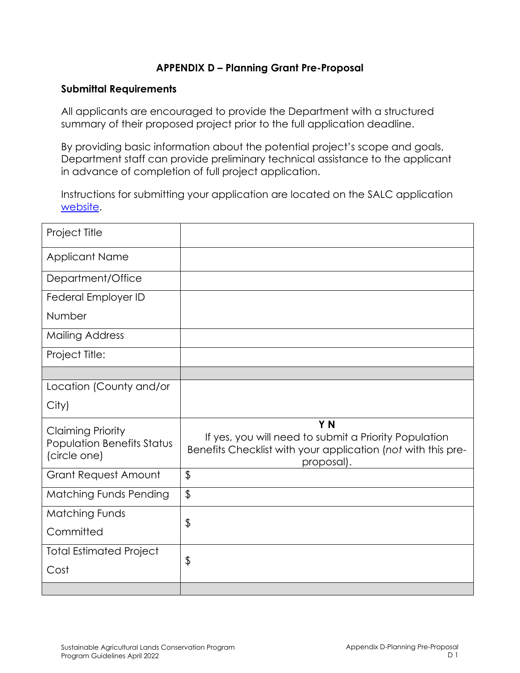## **APPENDIX D – Planning Grant Pre-Proposal**

#### **Submittal Requirements**

All applicants are encouraged to provide the Department with a structured summary of their proposed project prior to the full application deadline.

By providing basic information about the potential project's scope and goals, Department staff can provide preliminary technical assistance to the applicant in advance of completion of full project application.

Instructions for submitting your application are located on the SALC application [website.](https://www.conservation.ca.gov/dlrp/grant-programs/SALCP/Pages/Application%20Information.aspx)

| Project Title                                                                 |                                                                                                                                                       |
|-------------------------------------------------------------------------------|-------------------------------------------------------------------------------------------------------------------------------------------------------|
| <b>Applicant Name</b>                                                         |                                                                                                                                                       |
| Department/Office                                                             |                                                                                                                                                       |
| Federal Employer ID                                                           |                                                                                                                                                       |
| Number                                                                        |                                                                                                                                                       |
| <b>Mailing Address</b>                                                        |                                                                                                                                                       |
| Project Title:                                                                |                                                                                                                                                       |
|                                                                               |                                                                                                                                                       |
| Location (County and/or                                                       |                                                                                                                                                       |
| City)                                                                         |                                                                                                                                                       |
| <b>Claiming Priority</b><br><b>Population Benefits Status</b><br>(circle one) | Y <sub>N</sub><br>If yes, you will need to submit a Priority Population<br>Benefits Checklist with your application (not with this pre-<br>proposal). |
| <b>Grant Request Amount</b>                                                   | $\mathfrak{P}$                                                                                                                                        |
| <b>Matching Funds Pending</b>                                                 | $\frac{1}{2}$                                                                                                                                         |
| <b>Matching Funds</b>                                                         | \$                                                                                                                                                    |
| Committed                                                                     |                                                                                                                                                       |
| <b>Total Estimated Project</b>                                                | \$                                                                                                                                                    |
| Cost                                                                          |                                                                                                                                                       |
|                                                                               |                                                                                                                                                       |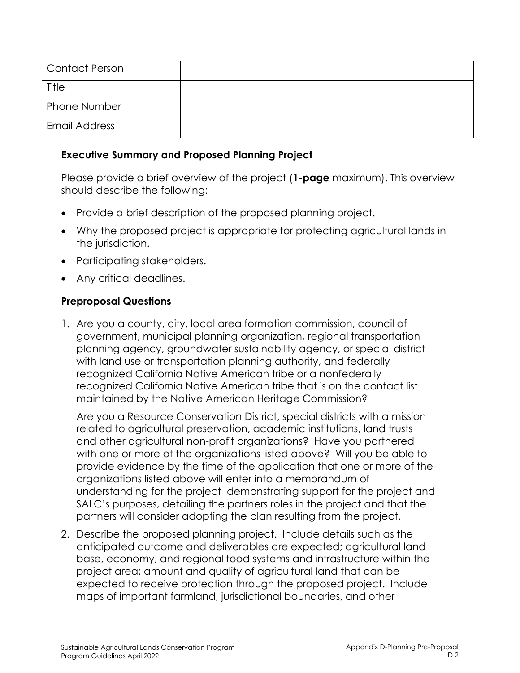| Contact Person       |  |
|----------------------|--|
| Title                |  |
| <b>Phone Number</b>  |  |
| <b>Email Address</b> |  |

### **Executive Summary and Proposed Planning Project**

Please provide a brief overview of the project (**1-page** maximum). This overview should describe the following:

- Provide a brief description of the proposed planning project.
- Why the proposed project is appropriate for protecting agricultural lands in the jurisdiction.
- Participating stakeholders.
- Any critical deadlines.

#### **Preproposal Questions**

1. Are you a county, city, local area formation commission, council of government, municipal planning organization, regional transportation planning agency, groundwater sustainability agency, or special district with land use or transportation planning authority, and federally recognized California Native American tribe or a nonfederally recognized California Native American tribe that is on the contact list maintained by the Native American Heritage Commission?

Are you a Resource Conservation District, special districts with a mission related to agricultural preservation, academic institutions, land trusts and other agricultural non-profit organizations? Have you partnered with one or more of the organizations listed above? Will you be able to provide evidence by the time of the application that one or more of the organizations listed above will enter into a memorandum of understanding for the project demonstrating support for the project and SALC's purposes, detailing the partners roles in the project and that the partners will consider adopting the plan resulting from the project.

2. Describe the proposed planning project. Include details such as the anticipated outcome and deliverables are expected; agricultural land base, economy, and regional food systems and infrastructure within the project area; amount and quality of agricultural land that can be expected to receive protection through the proposed project. Include maps of important farmland, jurisdictional boundaries, and other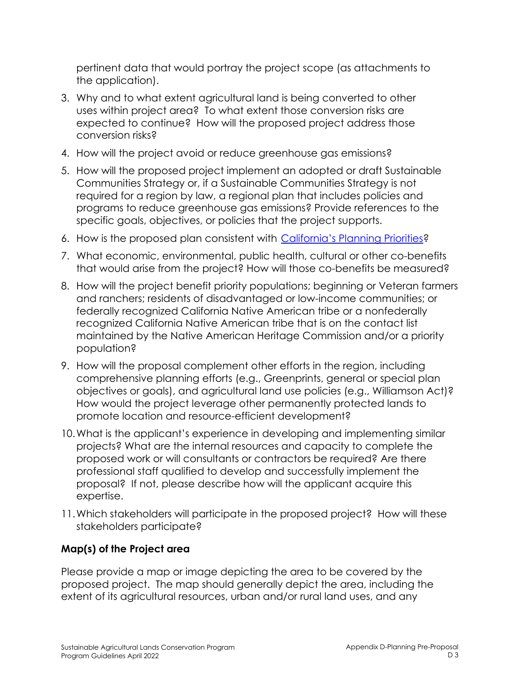pertinent data that would portray the project scope (as attachments to the application).

- 3. Why and to what extent agricultural land is being converted to other uses within project area? To what extent those conversion risks are expected to continue? How will the proposed project address those conversion risks?
- 4. How will the project avoid or reduce greenhouse gas emissions?
- 5. How will the proposed project implement an adopted or draft Sustainable Communities Strategy or, if a Sustainable Communities Strategy is not required for a region by law, a regional plan that includes policies and programs to reduce greenhouse gas emissions? Provide references to the specific goals, objectives, or policies that the project supports.
- 6. How is the proposed plan consistent with [California's Planning Priorities?](https://leginfo.legislature.ca.gov/faces/codes_displaySection.xhtml?lawCode=GOV§ionNum=65041.1)
- 7. What economic, environmental, public health, cultural or other co-benefits that would arise from the project? How will those co-benefits be measured?
- 8. How will the project benefit priority populations; beginning or Veteran farmers and ranchers; residents of disadvantaged or low-income communities; or federally recognized California Native American tribe or a nonfederally recognized California Native American tribe that is on the contact list maintained by the Native American Heritage Commission and/or a priority population?
- 9. How will the proposal complement other efforts in the region, including comprehensive planning efforts (e.g., Greenprints, general or special plan objectives or goals), and agricultural land use policies (e.g., Williamson Act)? How would the project leverage other permanently protected lands to promote location and resource-efficient development?
- 10.What is the applicant's experience in developing and implementing similar projects? What are the internal resources and capacity to complete the proposed work or will consultants or contractors be required? Are there professional staff qualified to develop and successfully implement the proposal? If not, please describe how will the applicant acquire this expertise.
- 11.Which stakeholders will participate in the proposed project? How will these stakeholders participate?

# **Map(s) of the Project area**

Please provide a map or image depicting the area to be covered by the proposed project. The map should generally depict the area, including the extent of its agricultural resources, urban and/or rural land uses, and any